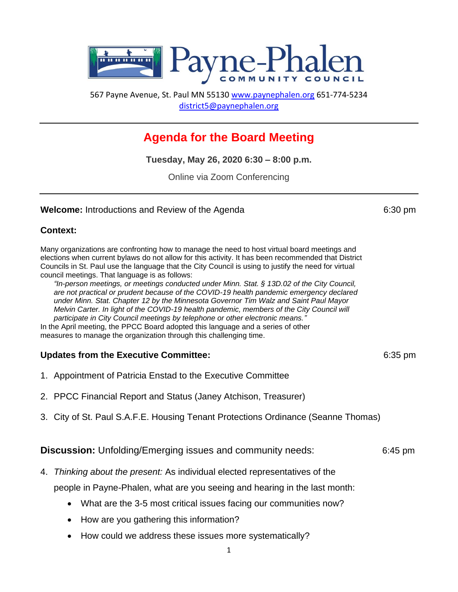

567 Payne Avenue, St. Paul MN 55130 [www.paynephalen.org](http://www.paynephalen.org/) 651-774-5234 [district5@paynephalen.org](mailto:district5@paynephalen.org)

# **Agenda for the Board Meeting**

**Tuesday, May 26, 2020 6:30 – 8:00 p.m.**

Online via Zoom Conferencing

## **Welcome:** Introductions and Review of the Agenda 6:30 pm

## **Context:**

Many organizations are confronting how to manage the need to host virtual board meetings and elections when current bylaws do not allow for this activity. It has been recommended that District Councils in St. Paul use the language that the City Council is using to justify the need for virtual council meetings. That language is as follows:

*"In-person meetings, or meetings conducted under Minn. Stat. § 13D.02 of the City Council, are not practical or prudent because of the COVID-19 health pandemic emergency declared under Minn. Stat. Chapter 12 by the Minnesota Governor Tim Walz and Saint Paul Mayor Melvin Carter. In light of the COVID-19 health pandemic, members of the City Council will participate in City Council meetings by telephone or other electronic means."*

In the April meeting, the PPCC Board adopted this language and a series of other measures to manage the organization through this challenging time.

# **Updates from the Executive Committee: 6:35 pm** 6:35 pm

- 1. Appointment of Patricia Enstad to the Executive Committee
- 2. PPCC Financial Report and Status (Janey Atchison, Treasurer)
- 3. City of St. Paul S.A.F.E. Housing Tenant [Protections](https://www.twincities.com/2020/03/04/st-paul-mayors-office-council-member-mitra-jalali-unveil-tenants-rights-proposal/) Ordinance (Seanne Thomas)

# **Discussion:** Unfolding/Emerging issues and community needs:6:45 pm

4. *Thinking about the present:* As individual elected representatives of the

people in Payne-Phalen, what are you seeing and hearing in the last month:

- What are the 3-5 most critical issues facing our communities now?
- How are you gathering this information?
- How could we address these issues more systematically?